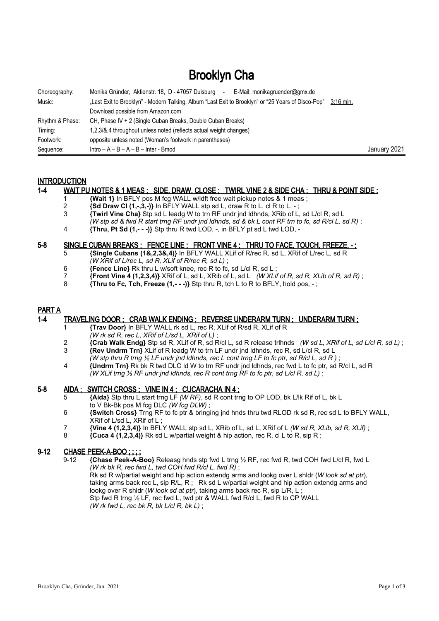# Brooklyn Cha

| Choreography:   | Monika Gründer, Aktienstr. 18, D - 47057 Duisburg -<br>E-Mail: monikagruender@gmx.de              |              |
|-----------------|---------------------------------------------------------------------------------------------------|--------------|
| Music:          | Last Exit to Brooklyn" - Modern Talking, Album "Last Exit to Brooklyn" or "25 Years of Disco-Pop" | 3:16 min.    |
|                 | Download possible from Amazon.com                                                                 |              |
| Rhythm & Phase: | CH, Phase IV + 2 (Single Cuban Breaks, Double Cuban Breaks)                                       |              |
| Timing:         | 1,2,3/&,4 throughout unless noted (reflects actual weight changes)                                |              |
| Footwork:       | opposite unless noted (Woman's footwork in parentheses)                                           |              |
| Sequence:       | $Intro - A - B - A - B - Inter - Bmod$                                                            | January 2021 |

## **INTRODUCTION**

# 1-4 WAIT PU NOTES & 1 MEAS ; SIDE, DRAW, CLOSE ; TWIRL VINE 2 & SIDE CHA ; THRU & POINT SIDE ;

- 1 **{Wait 1}** In BFLY pos M fcg WALL w/ldft free wait pickup notes & 1 meas ;
- <sup>2</sup> **{Sd Draw CI (1,-,3,-)}** In BFLY WALL stp sd L, draw R to L, cl R to L, -;<br>3 **Twirl Vine Cha)** Stp sd L leadg W to trn RF undr ind ldhnds. XRib of L
- 3 **{Twirl Vine Cha}** Stp sd L leadg W to trn RF undr jnd ldhnds, XRib of L, sd L/cl R, sd L
- *(W stp sd & fwd R start trng RF undr jnd ldhnds, sd & bk L cont RF trn to fc, sd R/cl L, sd R)* ;
- 4 **{Thru, Pt Sd (1,- -)}** Stp thru R twd LOD, -, in BFLY pt sd L twd LOD, -

# 5-8 SINGLE CUBAN BREAKS; FENCE LINE; FRONT VINE 4; THRU TO FACE, TOUCH, FREEZE, -;

- 5 **{Single Cubans (1&,2,3&,4)}** In BFLY WALL XLif of R/rec R, sd L, XRif of L/rec L, sd R *(W XRif of L/rec L, sd R, XLif of R/rec R, sd L)* ;
- 6 **{Fence Line}** Rk thru L w/soft knee, rec R to fc, sd L/cl R, sd L ;
- 7 **{Front Vine 4 (1,2,3,4)}** XRif of L, sd L, XRib of L, sd L *(W XLif of R, sd R, XLib of R, sd R)* ;
- **{Thru to Fc, Tch, Freeze**  $(1, -)$ **}** Stp thru R, tch L to R to BFLY, hold pos,  $-$ ;

# PART A

#### 1-4 TRAVELING DOOR ; CRAB WALK ENDING ; REVERSE UNDERARM TURN ; UNDERARM TURN ;

- 1 **{Trav Door}** In BFLY WALL rk sd L, rec R, XLif of R/sd R, XLif of R
- *(W rk sd R, rec L, XRif of L/sd L, XRif of L)* ;
- 2 **{Crab Walk Endg}** Stp sd R, XLif of R, sd R/cl L, sd R release trlhnds *(W sd L, XRif of L, sd L/cl R, sd L)* ; 3 **{Rev Undrm Trn}** XLif of R leadg W to trn LF undr jnd ldhnds, rec R, sd L/cl R, sd L
- *(W stp thru R trng ½ LF undr jnd ldhnds, rec L cont trng LF to fc ptr, sd R/cl L, sd R )* ; 4 **{Undrm Trn}** Rk bk R twd DLC ld W to trn RF undr jnd ldhnds, rec fwd L to fc ptr, sd R/cl L, sd R
- *(W XLif trng ½ RF undr jnd ldhnds, rec R cont trng RF to fc ptr, sd L/cl R, sd L)* ;

# 5-8 AIDA; SWITCH CROSS; VINE IN 4; CUCARACHA IN 4;

- 5 **{Aida}** Stp thru L start trng LF *(W RF)*, sd R cont trng to OP LOD, bk L/lk Rif of L, bk L to V Bk-Bk pos M fcg DLC *(W fcg DLW)* ;
- 6 **{Switch Cross}** Trng RF to fc ptr & bringing jnd hnds thru twd RLOD rk sd R, rec sd L to BFLY WALL, XRif of L/sd L, XRif of L ;
- 7 **{Vine 4 (1,2,3,4)}** In BFLY WALL stp sd L, XRib of L, sd L, XRif of L *(W sd R, XLib, sd R, XLif)* ;
- ${Cuca 4 (1,2,3,4)}$  Rk sd L w/partial weight & hip action, rec R, cl L to R, sip R;

# 9-12 CHASE PEEK-A-BOO ; ; ; ;

 9-12 **{Chase Peek-A-Boo}** Releasg hnds stp fwd L trng ½ RF, rec fwd R, twd COH fwd L/cl R, fwd L *(W rk bk R, rec fwd L, twd COH fwd R/cl L, fwd R)* ; Rk sd R w/partial weight and hip action extendg arms and lookg over L shldr (*W look sd at ptr*), taking arms back rec L, sip R/L, R ; Rk sd L w/partial weight and hip action extendg arms and lookg over R shldr (*W look sd at ptr*), taking arms back rec R, sip L/R, L ; Stp fwd R trng 1/2 LF, rec fwd L, twd ptr & WALL fwd R/cl L, fwd R to CP WALL *(W rk fwd L, rec bk R, bk L/cl R, bk L)* ;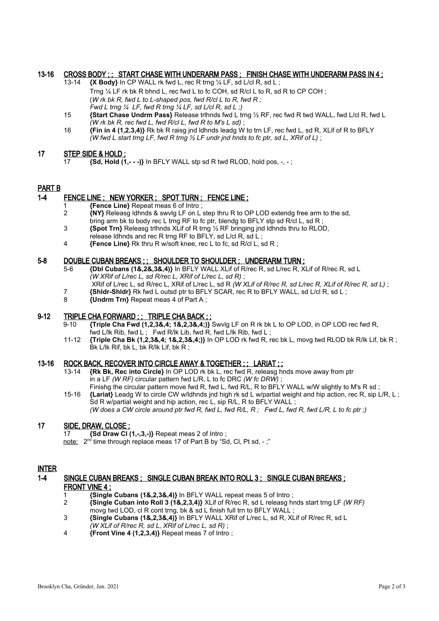# 13-16 CROSS BODY ; ; START CHASE WITH UNDERARM PASS ; FINISH CHASE WITH UNDERARM PASS IN 4 ;

- 13-14 **{X Body}** In CP WALL rk fwd L, rec R trng ¼ LF, sd L/cl R, sd L ; Trng 1/4 LF rk bk R bhnd L, rec fwd L to fc COH, sd R/cl L to R, sd R to CP COH; (*W rk bk R, fwd L to L-shaped pos, fwd R/cl L to R, fwd R ; Fwd L trng ¼ LF, fwd R trng ¼ LF, sd L/cl R, sd L ;)*
- 15 **{Start Chase Undrm Pass}** Release trlhnds fwd L trng ½ RF, rec fwd R twd WALL, fwd L/cl R, fwd L *(W rk bk R, rec fwd L, fwd R/cl L, fwd R to M's L sd)* ;
- 16 **{Fin in 4 (1,2,3,4)}** Rk bk R raisg jnd ldhnds leadg W to trn LF, rec fwd L, sd R, XLif of R to BFLY *(W fwd L start trng LF, fwd R trng ½ LF undr jnd hnds to fc ptr, sd L, XRif of L)* ;

# 17 STEP SIDE & HOLD ;

17 **{Sd, Hold (1,- - -)}** In BFLY WALL stp sd R twd RLOD, hold pos, -, - ;

## PART B

# 1-4 FENCE LINE ; NEW YORKER ; SPOT TURN ; FENCE LINE ;

- 1 **{Fence Line}** Repeat meas 6 of Intro ;
- 2 **{NY}** Releasg ldhnds & swvlg LF on L step thru R to OP LOD extendg free arm to the sd, bring arm bk to body rec L trng RF to fc ptr, blendg to BFLY stp sd R/cl L, sd R;
- 3 **{Spot Trn}** Releasg trlhnds XLif of R trng ½ RF bringing jnd ldhnds thru to RLOD,
- release ldhnds and rec R trng RF to BFLY, sd L/cl R, sd L ;
- 4 **{Fence Line}** Rk thru R w/soft knee, rec L to fc, sd R/cl L, sd R ;

#### 5-8 DOUBLE CUBAN BREAKS ; ; SHOULDER TO SHOULDER ; UNDERARM TURN ;

- 5-6 **{Dbl Cubans (1&,2&,3&,4)}** In BFLY WALL XLif of R/rec R, sd L/rec R, XLif of R/rec R, sd L *(W XRif of L/rec L, sd R/rec L, XRif of L/rec L, sd R)* ;
- XRif of L/rec L, sd R/rec L, XRif of L/rec L, sd R *(W XLif of R/rec R, sd L/rec R, XLif of R/rec R, sd L)* ;
- 7 **{Shldr-Shldr}** Rk fwd L outsd ptr to BFLY SCAR, rec R to BFLY WALL, sd L/cl R, sd L ;
- 8 **{Undrm Trn}** Repeat meas 4 of Part A ;

#### 9-12 TRIPLE CHA FORWARD ; ; TRIPLE CHA BACK ; ;

- 9-10 **{Triple Cha Fwd (1,2,3&,4; 1&,2,3&,4;)}** Swvlg LF on R rk bk L to OP LOD, in OP LOD rec fwd R, fwd L/lk Rib, fwd L; Fwd R/lk Lib, fwd R, fwd L/lk Rib, fwd L;
- 11-12 **{Triple Cha Bk (1,2,3&,4; 1&,2,3&,4;)}** In OP LOD rk fwd R, rec bk L, movg twd RLOD bk R/lk Lif, bk R ; Bk L/lk Rif, bk L, bk R/lk Lif, bk R ;

# 13-16 ROCK BACK, RECOVER INTO CIRCLE AWAY & TOGETHER ; ; LARIAT ; ;

- 13-14 **{Rk Bk, Rec into Circle}** In OP LOD rk bk L, rec fwd R, releasg hnds move away from ptr in a LF *(W RF)* circular pattern fwd L/R, L to fc DRC *(W fc DRW)* ; Finishg the circular pattern move fwd R, fwd L, fwd R/L, R to BFLY WALL w/W slightly to M's R sd;
- 15-16 **{Lariat}** Leadg W to circle CW w/ldhnds jnd high rk sd L w/partial weight and hip action, rec R, sip L/R, L ; Sd R w/partial weight and hip action, rec L, sip R/L, R to BFLY WALL ; *(W does a CW circle around ptr fwd R, fwd L, fwd R/L, R ; Fwd L, fwd R, fwd L/R, L to fc ptr ;)*

# 17 SIDE, DRAW, CLOSE ;

17 **{Sd Draw Cl (1,-,3,-)}** Repeat meas 2 of Intro ;

note: 2<sup>nd</sup> time through replace meas 17 of Part B by "Sd, Cl, Pt sd, -;"

#### INTER

# 1-4 SINGLE CUBAN BREAKS ; SINGLE CUBAN BREAK INTO ROLL 3 ; SINGLE CUBAN BREAKS ; FRONT VINE 4 ;

- 
- 1 **{Single Cubans (1&,2,3&,4)}** In BFLY WALL repeat meas 5 of Intro ; 2 **{Single Cuban into Roll 3 (1&,2,3,4)}** XLif of R/rec R, sd L releasg hnds start trng LF *(W RF)* movg twd LOD, cl R cont trng, bk & sd L finish full trn to BFLY WALL ;
- 3 **{Single Cubans (1&,2,3&,4)}** In BFLY WALL XRif of L/rec L, sd R, XLif of R/rec R, sd L *(W XLif of R/rec R, sd L, XRif of L/rec L, sd R)* ;
- 4 **{Front Vine 4 (1,2,3,4)}** Repeat meas 7 of Intro ;